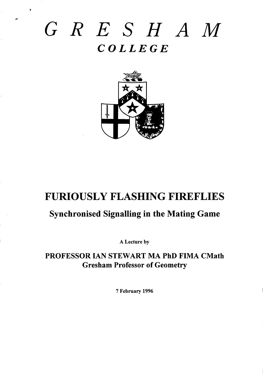# GRESHAM  $COLLEGE$



## **FURIOUSLY FLASHING FIREFLIES**

## **Synchronised Signalling in the Mating Game**

A Lecture by

PROFESSOR IAN STEWART MA PhD FIMA CMath **Gresham Professor of Geometry** 

7 February 1996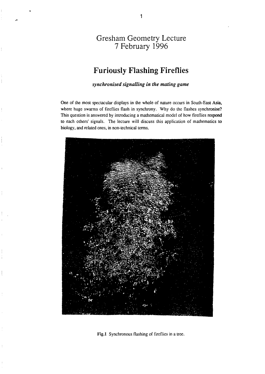### Gresham Geometry Lectur 7 February 1996

## **Furiously Flashing Fireflies**

*synchronised signalling in the mating game* 

One of the most spectacular displays in the whole of nature occurs in South-East Asia, where huge swarms of fireflies flash in synchrony. Why do the flashes synchronise? This question is answered by introducing a mathematical model of how fireflies respond to each others' signals. The lecture will discuss this application of mathematics to biology, and related ones, in non-technical terms.



Fig.1 Synchronous flashing of fireflies in a tree.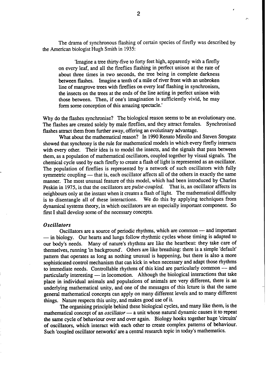The drama of synchronous flashing of certain species of firefly was described by the American biologist Hugh Smith in 1935:

'Imagine a tree thirty-five to forty feet high, apparently with a firefly on every leaf, and all the fireflies flashing in perfect unison at the rate of about three times in two seconds, the tree being in complete darkness between flashes. Imagine a tenth of a mile of river front with an unbroken line of mangrove trees with fireflies on every leaf flashing in synchronism, the insects on the trees at the ends of the line acting in pefiect unison with those between. Then, if one's imagination is sufficiently vivid, he may form some conception of this amazing spectacle.'

Why do the flashes synchronise? The biological reason seems to be an evolutionary one. The flashes are created solely by male fireflies, and they attract females. Synchronised flashes attract them from further away, offering an evolutinary advantage.

What about the mathematical reason? In 1990 Renato Mirollo and Steven Strogatz showed that synchrony is the rule for mathematical models in which every firefly interacts with every other. Their idea is to model the insects, and the signals that pass between them, as a population of mathematical oscillators, coupled together by visual signals. The chemical cycle used by each firefly to create a flash of light is represented as an oscillator. The population of fireflies is represented by a network of such oscillators with fully symmetric coupling — that is, each oscillator affects all of the others in exactly the same manner. The most unusual feature of this model, which had been introduced by Charles<br>Peskin in 1975, is that the oscillators are *pulse-coupled*. That is, an oscillator affects its Peskin in 1975, is that the oscillators are *pulse-coupled*. neighbours only at the instant when it creates a flash of light. The mathematical difficulty is to disentangle all of these interactions. We do this by applying techniques from dynamical systems theory, in which oscillators are an especially important component. So first I shall develop some of the necessary concepts.

#### *Oscillators*

Oscillators are a source of periodic rhythms, which are common — and important — in biology. Our hearts and lungs follow rhythmic cycles whose timing is adapted to our body's needs. Many of nature's rhythms are like the heartbeat: they take care of themselves, running 'inbackground. Others are like breathing: there is a simple 'default' pattern that operates as long as nothing unusual is happening, but there is also a more sophisticated control mechanism that can kick in when necessary and adapt those rhythms to immediate needs. Controllable rhythms of this kind are particularly common — and particularly interesting — in locomotion. Although the biological interactions that take place in individual animals and populations of animals are very different, there is an underlying mathematical unity, and one of the messages of this lcture is that the same general mathematical concepts can apply on many different levels and to many different things. Nature respects this unity, and makes good use of it

—

The organizing principle behind these biological cycles, and many like them, is the mathematical concept of an *oscillator —* a unit whose natural dynamic causes it to repeat the same cycle of behaviour over and over again. Biology hooks together huge 'circuits' of oscillators, which interact with each other to create complex patterns of behaviour. Such 'coupled oscillator networks' are a central research topic in today's mathematics.

**2**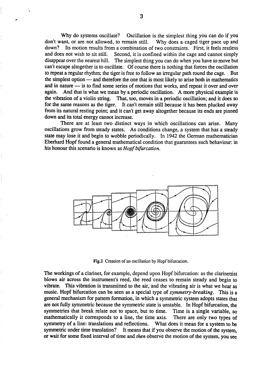Why do systems oscillate? Oscillation is the simplest thing you can do if you don't want, or are not allowed, to remain still. Why does a caged tiger pace up and down? Its motion results from a combination of two constraints. First, it feels restless and does not wish to sit still. Second, it is confined within the cage and cannot simply disappear over the nearest hill. The simplest thing you can do when you have to move but can't escape altogether is to oscillate. Of course there is nothing that forces the oscillation to repeat a regular rhythm; the tiger is free to follow an irregular path round the cage. But the simplest option — and therefore the one that is most likely to arise both in mathematics and in nature — is to find some series of motions that works, and repeat it over and over again. And that is what we mean by a periodic oscillation. A more physical example is the vibration of a violin string. That, too, moves in a periodic oscillation; and it does so for the same reasons as the tiger. It can't remain still because it has been plucked away from its natural resting point; and it can't get away altogether because its ends are pinned down and its total energy cannot increase.

There are at least two distinct ways in which oscillations can arise. Many oscillations grow from steady states. As conditions change, a system that has a steady state may lose it and begin to wobble periodicdly. In 1942 the German mathematician Eberhard Hopf found a general mathematical condition that guarantees such behaviour: in his honour this scenario is known as *Hopf bifurcation.*



Fig.2 Creation of an oscillation by Hopf bifurcation.

The workings of a clarinet, for example, depend upon Hopf bifurcation: as the clarinetist blows air across the instrument's reed, the red ceases to remain steady and begin to vibrate. This vibration is transmitted to the air, and the vibrating air is what we hear as music. Hopf bifurcation can be seen as a special type of *symmetry-breaking*. This is a general mechanism for pattern formation, in which a symmetric system adopts states that are not fully symmetric because the symmetric state is unstable. In Hopf bifurcation, the symmetries that break relate not to space, but to time. Time is a single variable, so mathematically it corresponds to a line, the time axis. There are only two types of symmetry of a line: translations and reflections. What does it mean for a system to be symmetric under time translation? It means that if you observe the motion of the system, or wait for some fixed interval of time and *then* observe the motion of the system, you see

#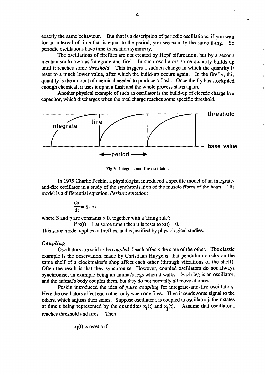exactly the same behaviour. But that is a description of periodic oscillations: if you wait for an interval of time that is equal to the period, you see exactly the same thing. So periodic oscillations have time-translation symmetry.

The oscillations of fireflies are not created by Hopf bifurcation, but by a second mechanism known as 'integrate-and-fire'. In such oscillators some quantity builds up until it reaches some *threshold*. This triggers a sudden change in which the quantity is reset to a much lower value, after which the build-up occurs again. In the firefly, this quantity is the amount of chemical needed to produce a flash. Once the fly has stockpiled enough chemical, it uses it up in a flash and the whole process starts again.

Another physical example of such an oscillator is the build-up of electric charge in a capacitor, which discharges when the total charge reaches some specific threshold.



Fig.3 Integrate-and-fire oscillator.

In 1975 Charlie Peskin, a physiologist, introduced a specific model of an integrateand-fire oscillator in a study of the synchronisation of the muscle fibres of the heart. His model is a differential equation, *Peskin's equation*:

$$
\frac{dx}{dt} = S - \gamma x
$$

where S and  $\gamma$  are constants  $> 0$ , together with a 'firing rule':

if  $x(t) = 1$  at some time t then it is reset to  $x(t) = 0$ .

This same model applies to fireflies, and is justified by physiological studies.

#### *Coupling*

OsciUators are said to be *coupled* if each affects the state of the other. The classic example is the observation, made by Christian Huygens, that pendulum clocks on the same shelf of a clockmaker's shop affect each other (through vibrations of the shelf). Often the result is that they synchronise. However, coupled oscillators do not always synchronise, an example being an animal's legs when it walks. Each leg is an oscillator, and the animal's body couples them, but they do not normally all move at once.

Peskin introduced the idea of *pulse coupling* for integrate-and-fire oscillators: Here the oscillators affect each other only when one fires. Then it sends some signal to the others, which adjusts their states. Suppose oscillator i is coupled to oscillator j, their states at time t being represented by the quantities  $x_i(t)$  and  $x_i(t)$ . Assume that oscillator i at time t being represented by the quantities  $x_i(t)$  and  $x_i(t)$ . reaches threshold and fires. Then

—

$$
x_i(t)
$$
 is reset to 0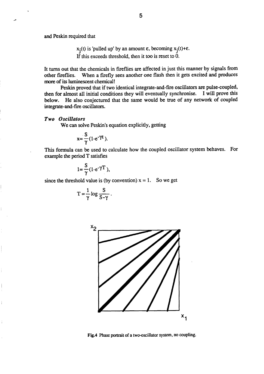and Peskin required that

 $x_i(t)$  is 'pulled up' by an amount  $\varepsilon$ , becoming  $x_i(t)$ **<sup>E</sup>** this exceds threshold, then it too is reset **to O.**

It turns out that the chemicals in fireflies are affected in just this manner by signals from other fireflies. When a firefly sees another one flash then it gets excited and produces more of its luminescent chemical!

Peskin proved that if two identical integrate-and-fire oscillators are pulse-coupled, then for almost all initial conditions they will eventually synchronise. I will prove this below. He also conjectured that the same would be true of any network of coupled integrate-and-fire oscillators.

#### *Two Oscillators*

We can solve Peskin's equation explicitly, getting

$$
x = \frac{S}{\gamma} (1 - e^{-\gamma t}).
$$

This formula can be used to calculate how the coupled oscillator system behaves. For example the period T satisfies

$$
1=\frac{S}{\gamma}(1-e^{-\gamma T}),
$$

since the threshold value is (by convention)  $x = 1$ . So we get

$$
T = \frac{1}{\gamma} \log \frac{S}{S - \gamma} \ .
$$



Fig.4 Phase portrait of a two-oscillator system, no coupling.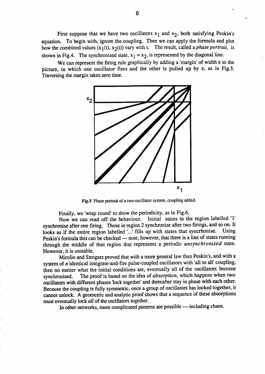First suppose that we have two oscillators  $x_1$  and  $x_2$ , both satisfying Peskin's equation. To begin with, ignore the coupling. Then we can apply the formula and plot how the combined values  $(x_1(t), x_2(t))$  vary with t. The result, called a *phase portrait*, is shown in Fig.4. The synchronised state,  $x_1 = x_2$ , is represented by the diagonal line.

We can represent the firing rule graphically by adding a 'margin' of width  $\varepsilon$  to the picture, in which one oscillator fires and the other is pulled up by  $\varepsilon$ , as in Fig.5. Traversing the margin takes zero time.



Fig.5 Phase portrait of a two-oscillator system, coupling added.

Finally, we 'wrap round' to show the periodicity, as in Fig.6.<br>Now we can read off the behaviour. Initial states in the region labelled '1' Now we can read off the behaviour. Initial states in the region labelled '1' synchronise after one firing. Those in region 2 synchronise after two firings, and so on. It looks as if the entire region labelled '...' fills up with states that syncrhonise. Using Peskin's fomula this can be checked — note, however, that there is a line of states running through the middle of that region that represents a periodic *unsynchronised* state. However, it is unstable.

Mirollo and Strogatz proved that with a more general law than Peskin's, and with a system of  $n$  identical integrate-and-fire pulse-coupled oscillators with 'all to all' coupling, then no matter what the initial conditions are, eventually all of the oscillators become synchronised. The proof is based on the idea of *absorption,* which happens when two oscillators with different phases 'lock together' and thereafter stay in phase with each other. Because the coupling is fully symmetric, once a group of oscillators has locked together, it cannot unlock. A geometric and analytic proof shows that a sequence of fiese absorption must eventually lock *all* of the oscillators together.

In other networks, more complicated patterns are possible -- including chaos.

,.

!\*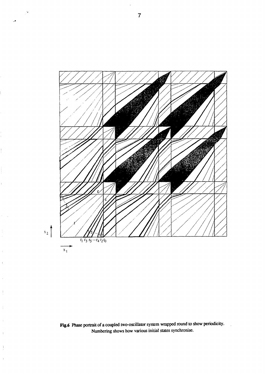

Fig.6 Phase portrait of a coupled two-oscillator system wrapped round to show periodicity. Numbering shows how various initial states synchronise.

ÿ

 $\overline{1}$ 

 $\vert$ 

 $\frac{1}{4}$ 

 $\bar{1}$ 

 $\mathfrak{t}$ 

 $\bar{1}$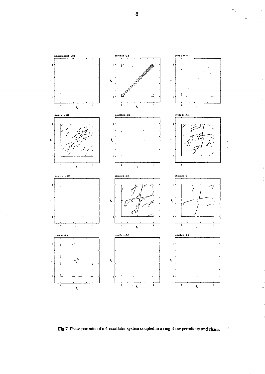

 $\bar{1}$ 

 $\frac{1}{2}$ 

 $\frac{1}{4}$ 

 $\ddot{\mathrm{i}}$ 

Fig.7 Phase portraits of a 4-oscillator system coupled in a ring show perodicity and chaos.

8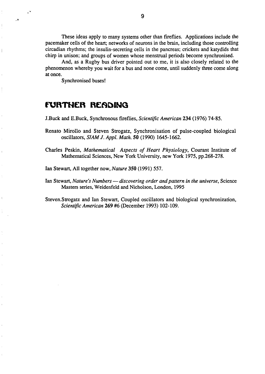These ideas apply to many systems other than fireflies. Applications include the pacemaker cells of the heart; networks of neurons in the brain, including those controlling circadian rhythms; the insulin-secreting cells in the pancreas; crickets and katydids that chirp in unison; and groups of women whose menstrual periods become synchronised.

And, as a Rugby bus driver pointed out to me, it is also closely related to the phenomenon whereby you wait for a bus and none come, until suddenly three come along at once.

Synchronised buses!

.+

 $\overline{\phantom{a}}$ 

### **FURTHER READING**

J.Buck and E.Buck, Synchronous fmeflies, *Scientific American 234* (1976) 7485.

- Renato Mirollo and Steven Strogatz, Synchronisation of pulse-coupled biological oscillato~~ *SIAM J. Appl. Math. 50* (1990) 1645-1662.
- Charles Peskin, *Mathematical Aspects of Heart Physiology,* Courant Institute of Mathematical Sciences, New York University, new York 1975, pp.268-278.
- Ian Stewart, All together now, *Nature 350* (1991) 557.
- *Ian* Stewart, *Nature's Numbers discovering order and pattern in the universe*, Science Masters series, Weidenfeld and Nicholson, London, 1995

Steven. Strogatz and Ian Stewart, Coupled oscillators and biological synchronization, *Scientific American 269 #6* (December 1993) 102-109.